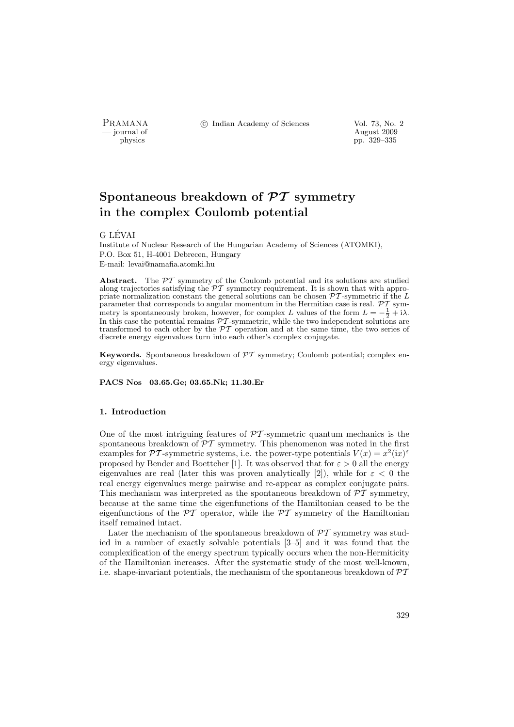PRAMANA °c Indian Academy of Sciences Vol. 73, No. 2

physics and the contract of the contract of the contract 2009 physics and the contract of the contract  $\frac{1}{200}$  pp. 329–335 pp. 329–335

# Spontaneous breakdown of  $\mathcal{PT}$  symmetry in the complex Coulomb potential

# G LÉVAI

Institute of Nuclear Research of the Hungarian Academy of Sciences (ATOMKI), P.O. Box 51, H-4001 Debrecen, Hungary E-mail: levai@namafia.atomki.hu

Abstract. The  $\mathcal{PT}$  symmetry of the Coulomb potential and its solutions are studied along trajectories satisfying the  $\mathcal{PT}$  symmetry requirement. It is shown that with appropriate normalization constant the general solutions can be chosen  $\mathcal{PT}$ -symmetric if the L parameter that corresponds to angular momentum in the Hermitian case is real.  $\mathcal{PT}$  symmetry is spontaneously broken, however, for complex L values of the form  $L = -\frac{1}{2} + i\lambda$ . In this case the potential remains PT -symmetric, while the two independent solutions are transformed to each other by the  $\mathcal{PT}$  operation and at the same time, the two series of discrete energy eigenvalues turn into each other's complex conjugate.

**Keywords.** Spontaneous breakdown of  $\mathcal{P}T$  symmetry; Coulomb potential; complex energy eigenvalues.

PACS Nos 03.65.Ge; 03.65.Nk; 11.30.Er

## 1. Introduction

One of the most intriguing features of  $\mathcal{PT}$ -symmetric quantum mechanics is the spontaneous breakdown of  $\mathcal{PT}$  symmetry. This phenomenon was noted in the first examples for PT-symmetric systems, i.e. the power-type potentials  $V(x) = x^2 (ix)^{\epsilon}$ proposed by Bender and Boettcher [1]. It was observed that for  $\varepsilon > 0$  all the energy eigenvalues are real (later this was proven analytically [2]), while for  $\varepsilon < 0$  the real energy eigenvalues merge pairwise and re-appear as complex conjugate pairs. This mechanism was interpreted as the spontaneous breakdown of  $\mathcal{PT}$  symmetry, because at the same time the eigenfunctions of the Hamiltonian ceased to be the eigenfunctions of the  $\mathcal{PT}$  operator, while the  $\mathcal{PT}$  symmetry of the Hamiltonian itself remained intact.

Later the mechanism of the spontaneous breakdown of  $\mathcal{PT}$  symmetry was studied in a number of exactly solvable potentials [3–5] and it was found that the complexification of the energy spectrum typically occurs when the non-Hermiticity of the Hamiltonian increases. After the systematic study of the most well-known, i.e. shape-invariant potentials, the mechanism of the spontaneous breakdown of  $\mathcal{PT}$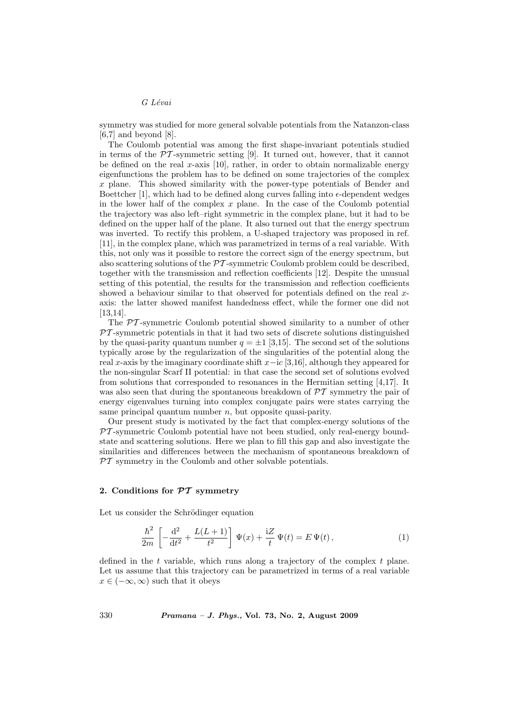## G Lévai

symmetry was studied for more general solvable potentials from the Natanzon-class [6,7] and beyond [8].

The Coulomb potential was among the first shape-invariant potentials studied in terms of the  $\mathcal{P}\mathcal{T}$ -symmetric setting [9]. It turned out, however, that it cannot be defined on the real x-axis  $[10]$ , rather, in order to obtain normalizable energy eigenfunctions the problem has to be defined on some trajectories of the complex  $x$  plane. This showed similarity with the power-type potentials of Bender and Boettcher [1], which had to be defined along curves falling into  $\epsilon$ -dependent wedges in the lower half of the complex  $x$  plane. In the case of the Coulomb potential the trajectory was also left–right symmetric in the complex plane, but it had to be defined on the upper half of the plane. It also turned out that the energy spectrum was inverted. To rectify this problem, a U-shaped trajectory was proposed in ref. [11], in the complex plane, which was parametrized in terms of a real variable. With this, not only was it possible to restore the correct sign of the energy spectrum, but also scattering solutions of the  $\mathcal{PT}$ -symmetric Coulomb problem could be described, together with the transmission and reflection coefficients [12]. Despite the unusual setting of this potential, the results for the transmission and reflection coefficients showed a behaviour similar to that observed for potentials defined on the real xaxis: the latter showed manifest handedness effect, while the former one did not [13,14].

The PT -symmetric Coulomb potential showed similarity to a number of other  $PT$ -symmetric potentials in that it had two sets of discrete solutions distinguished by the quasi-parity quantum number  $q = \pm 1$  [3,15]. The second set of the solutions typically arose by the regularization of the singularities of the potential along the real x-axis by the imaginary coordinate shift  $x-i c$  [3,16], although they appeared for the non-singular Scarf II potential: in that case the second set of solutions evolved from solutions that corresponded to resonances in the Hermitian setting [4,17]. It was also seen that during the spontaneous breakdown of  $\mathcal{PT}$  symmetry the pair of energy eigenvalues turning into complex conjugate pairs were states carrying the same principal quantum number  $n$ , but opposite quasi-parity.

Our present study is motivated by the fact that complex-energy solutions of the  $PT$ -symmetric Coulomb potential have not been studied, only real-energy boundstate and scattering solutions. Here we plan to fill this gap and also investigate the similarities and differences between the mechanism of spontaneous breakdown of  $PT$  symmetry in the Coulomb and other solvable potentials.

## 2. Conditions for  $\mathcal{PT}$  symmetry

Let us consider the Schrödinger equation

$$
\frac{\hbar^2}{2m} \left[ -\frac{d^2}{dt^2} + \frac{L(L+1)}{t^2} \right] \Psi(x) + \frac{iZ}{t} \Psi(t) = E \Psi(t), \tag{1}
$$

defined in the  $t$  variable, which runs along a trajectory of the complex  $t$  plane. Let us assume that this trajectory can be parametrized in terms of a real variable  $x \in (-\infty, \infty)$  such that it obeys

330 Pramana – J. Phys., Vol. 73, No. 2, August 2009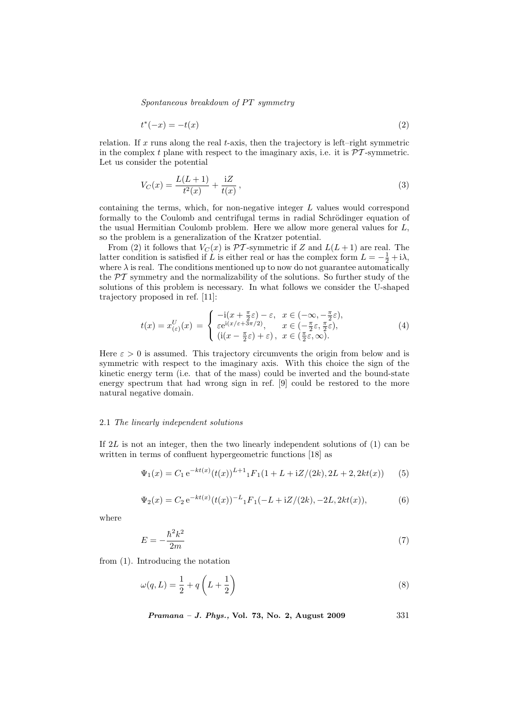$S$ pontaneous breakdown of PT symmetry

$$
t^*(-x) = -t(x) \tag{2}
$$

relation. If x runs along the real  $t$ -axis, then the trajectory is left–right symmetric in the complex t plane with respect to the imaginary axis, i.e. it is  $\mathcal{PT}$ -symmetric. Let us consider the potential

$$
V_C(x) = \frac{L(L+1)}{t^2(x)} + \frac{iZ}{t(x)},
$$
\n(3)

containing the terms, which, for non-negative integer L values would correspond formally to the Coulomb and centrifugal terms in radial Schrödinger equation of the usual Hermitian Coulomb problem. Here we allow more general values for L, so the problem is a generalization of the Kratzer potential.

From (2) it follows that  $V_C(x)$  is  $\mathcal{PT}$ -symmetric if Z and  $L(L+1)$  are real. The latter condition is satisfied if L is either real or has the complex form  $L = -\frac{1}{2} + i\lambda$ , where  $\lambda$  is real. The conditions mentioned up to now do not guarantee automatically the  $\mathcal{PT}$  symmetry and the normalizability of the solutions. So further study of the solutions of this problem is necessary. In what follows we consider the U-shaped trajectory proposed in ref. [11]:

$$
t(x) = x_{(\varepsilon)}^U(x) = \begin{cases} -\mathrm{i}(x + \frac{\pi}{2}\varepsilon) - \varepsilon, & x \in (-\infty, -\frac{\pi}{2}\varepsilon), \\ \varepsilon e^{\mathrm{i}(x/\varepsilon + 3\pi/2)}, & x \in (-\frac{\pi}{2}\varepsilon, \frac{\pi}{2}\varepsilon), \\ (\mathrm{i}(x - \frac{\pi}{2}\varepsilon) + \varepsilon), & x \in (\frac{\pi}{2}\varepsilon, \infty). \end{cases} (4)
$$

Here  $\varepsilon > 0$  is assumed. This trajectory circumvents the origin from below and is symmetric with respect to the imaginary axis. With this choice the sign of the kinetic energy term (i.e. that of the mass) could be inverted and the bound-state energy spectrum that had wrong sign in ref. [9] could be restored to the more natural negative domain.

#### 2.1 The linearly independent solutions

If 2L is not an integer, then the two linearly independent solutions of (1) can be written in terms of confluent hypergeometric functions [18] as

$$
\Psi_1(x) = C_1 e^{-kt(x)} (t(x))^{L+1} {}_1F_1(1 + L + iZ/(2k), 2L + 2, 2kt(x))
$$
 (5)

$$
\Psi_2(x) = C_2 e^{-kt(x)} (t(x))^{-L} {}_1F_1(-L+iZ/(2k), -2L, 2kt(x)), \tag{6}
$$

where

$$
E = -\frac{\hbar^2 k^2}{2m} \tag{7}
$$

from (1). Introducing the notation

$$
\omega(q, L) = \frac{1}{2} + q\left(L + \frac{1}{2}\right) \tag{8}
$$

*Pramana – J. Phys.*, Vol. 73, No. 2, August 2009  $331$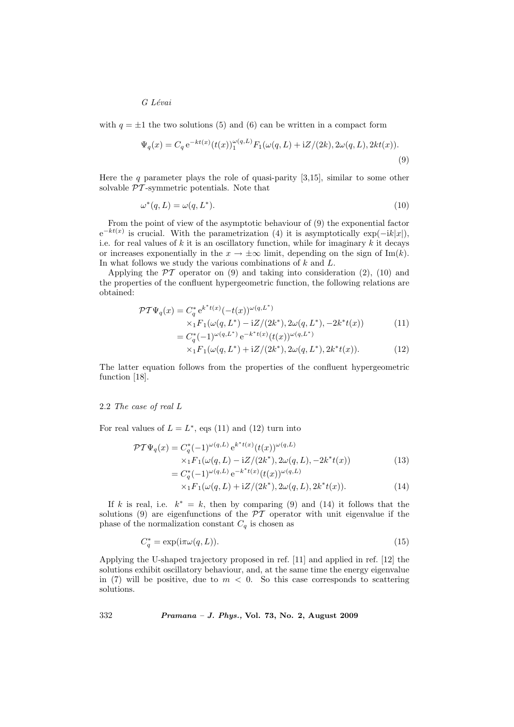G Lévai

with  $q = \pm 1$  the two solutions (5) and (6) can be written in a compact form

$$
\Psi_q(x) = C_q e^{-kt(x)} (t(x))_1^{\omega(q,L)} F_1(\omega(q,L) + iZ/(2k), 2\omega(q,L), 2kt(x)).
$$
\n(9)

Here the q parameter plays the role of quasi-parity  $[3,15]$ , similar to some other solvable  $\mathcal{P}\mathcal{T}$ -symmetric potentials. Note that

$$
\omega^*(q, L) = \omega(q, L^*). \tag{10}
$$

From the point of view of the asymptotic behaviour of (9) the exponential factor  $e^{-kt(x)}$  is crucial. With the parametrization (4) it is asymptotically  $\exp(-ik|x|)$ , i.e. for real values of  $k$  it is an oscillatory function, while for imaginary  $k$  it decays or increases exponentially in the  $x \to \pm \infty$  limit, depending on the sign of Im(k). In what follows we study the various combinations of  $k$  and  $L$ .

Applying the  $\mathcal{PT}$  operator on (9) and taking into consideration (2), (10) and the properties of the confluent hypergeometric function, the following relations are obtained:

$$
\mathcal{PT}\Psi_q(x) = C_q^* e^{k^*t(x)} (-t(x))^{\omega(q,L^*)}
$$
  
\n
$$
\times_1 F_1(\omega(q,L^*) - iZ/(2k^*), 2\omega(q,L^*), -2k^*t(x))
$$
  
\n
$$
= C_q^*(-1)^{\omega(q,L^*)} e^{-k^*t(x)} (t(x))^{\omega(q,L^*)}
$$
\n(11)

$$
\times {}_1F_1(\omega(q, L^*) + iZ/(2k^*), 2\omega(q, L^*), 2k^*t(x)).
$$
\n(12)

The latter equation follows from the properties of the confluent hypergeometric function [18].

#### 2.2 The case of real L

For real values of  $L = L^*$ , eqs (11) and (12) turn into

$$
\mathcal{PT}\Psi_{q}(x) = C_{q}^{*}(-1)^{\omega(q,L)} e^{k^{*}t(x)}(t(x))^{\omega(q,L)} \times {}_{1}F_{1}(\omega(q,L) - iZ/(2k^{*}), 2\omega(q,L), -2k^{*}t(x)) \n= C_{q}^{*}(-1)^{\omega(q,L)} e^{-k^{*}t(x)}(t(x))^{\omega(q,L)}
$$
\n(13)

$$
\times_1^1 F_1(\omega(q, L) + iZ/(2k^*), 2\omega(q, L), 2k^*t(x)).
$$
\n(14)

If k is real, i.e.  $k^* = k$ , then by comparing (9) and (14) it follows that the solutions (9) are eigenfunctions of the  $\mathcal{PT}$  operator with unit eigenvalue if the phase of the normalization constant  $C_q$  is chosen as

$$
C_q^* = \exp(i\pi\omega(q, L)).\tag{15}
$$

Applying the U-shaped trajectory proposed in ref. [11] and applied in ref. [12] the solutions exhibit oscillatory behaviour, and, at the same time the energy eigenvalue in (7) will be positive, due to  $m < 0$ . So this case corresponds to scattering solutions.

332 Pramana – J. Phys., Vol. 73, No. 2, August 2009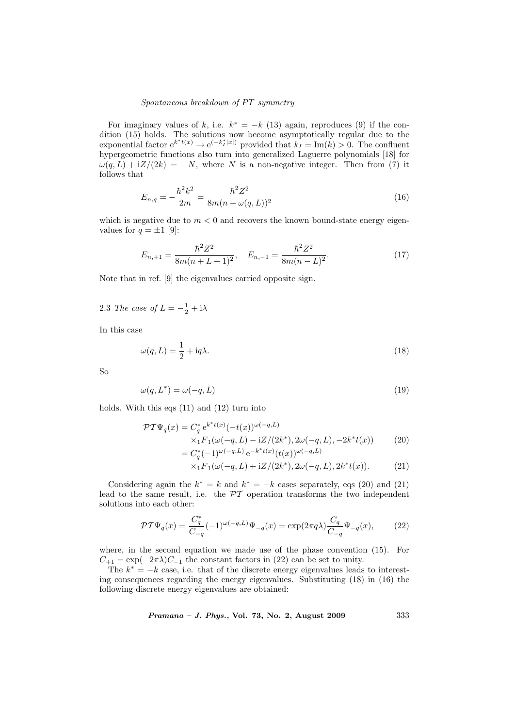# $S$ pontaneous breakdown of PT symmetry

For imaginary values of k, i.e.  $k^* = -k(13)$  again, reproduces (9) if the condition (15) holds. The solutions now become asymptotically regular due to the exponential factor  $e^{k^*t(x)} \to e^{(-k_I^*|x|)}$  provided that  $k_I = \text{Im}(k) > 0$ . The confluent hypergeometric functions also turn into generalized Laguerre polynomials [18] for  $\omega(q, L) + iZ/(2k) = -N$ , where N is a non-negative integer. Then from (7) it follows that

$$
E_{n,q} = -\frac{\hbar^2 k^2}{2m} = \frac{\hbar^2 Z^2}{8m(n + \omega(q, L))^2}
$$
\n(16)

which is negative due to  $m < 0$  and recovers the known bound-state energy eigenvalues for  $q = \pm 1$  [9]:

$$
E_{n,+1} = \frac{\hbar^2 Z^2}{8m(n+L+1)^2}, \quad E_{n,-1} = \frac{\hbar^2 Z^2}{8m(n-L)^2}.
$$
 (17)

Note that in ref. [9] the eigenvalues carried opposite sign.

2.3 The case of  $L = -\frac{1}{2} + i\lambda$ 

In this case

$$
\omega(q, L) = \frac{1}{2} + \mathrm{i}q\lambda. \tag{18}
$$

So

$$
\omega(q, L^*) = \omega(-q, L) \tag{19}
$$

holds. With this eqs (11) and (12) turn into

$$
\mathcal{PT}\Psi_{q}(x) = C_{q}^{*} e^{k^{*}t(x)} (-t(x))^{\omega(-q,L)} \times {}_{1}F_{1}(\omega(-q,L) - iZ/(2k^{*}), 2\omega(-q,L), -2k^{*}t(x)) \n= C_{q}^{*}(-1)^{\omega(-q,L)} e^{-k^{*}t(x)}(t(x))^{\omega(-q,L)}
$$
\n(20)

$$
\times_1 F_1(\omega(-q, L) + iZ/(2k^*), 2\omega(-q, L), 2k^*t(x)).
$$
 (21)

Considering again the  $k^* = k$  and  $k^* = -k$  cases separately, eqs (20) and (21) lead to the same result, i.e. the  $\mathcal{PT}$  operation transforms the two independent solutions into each other:

$$
\mathcal{PT}\Psi_q(x) = \frac{C_q^*}{C_{-q}}(-1)^{\omega(-q,L)}\Psi_{-q}(x) = \exp(2\pi q\lambda)\frac{C_q}{C_{-q}}\Psi_{-q}(x),\tag{22}
$$

where, in the second equation we made use of the phase convention (15). For  $C_{+1} = \exp(-2\pi\lambda)C_{-1}$  the constant factors in (22) can be set to unity.

The  $k^* = -k$  case, i.e. that of the discrete energy eigenvalues leads to interesting consequences regarding the energy eigenvalues. Substituting (18) in (16) the following discrete energy eigenvalues are obtained:

Pramana – J. Phys., Vol. 73, No. 2, August 2009 333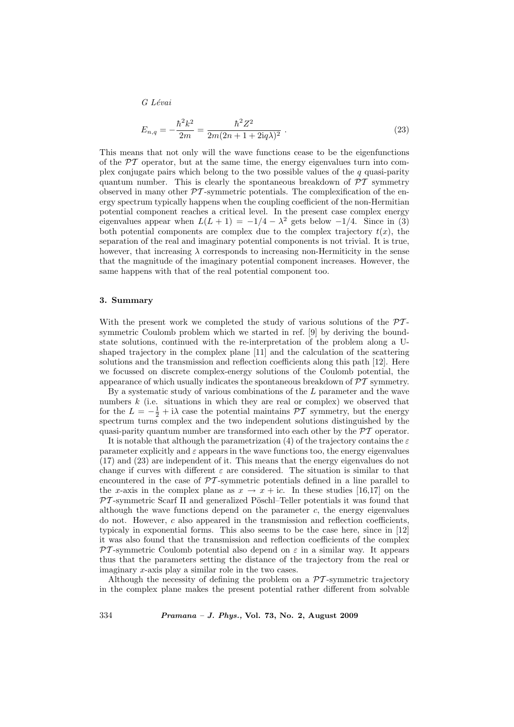G Lévai

$$
E_{n,q} = -\frac{\hbar^2 k^2}{2m} = \frac{\hbar^2 Z^2}{2m(2n+1+2\mathrm{i}q\lambda)^2} \ . \tag{23}
$$

This means that not only will the wave functions cease to be the eigenfunctions of the  $\mathcal{P}\mathcal{T}$  operator, but at the same time, the energy eigenvalues turn into complex conjugate pairs which belong to the two possible values of the  $q$  quasi-parity quantum number. This is clearly the spontaneous breakdown of  $\mathcal{PT}$  symmetry observed in many other  $\mathcal{PT}$ -symmetric potentials. The complexification of the energy spectrum typically happens when the coupling coefficient of the non-Hermitian potential component reaches a critical level. In the present case complex energy eigenvalues appear when  $L(L + 1) = -1/4 - \lambda^2$  gets below  $-1/4$ . Since in (3) both potential components are complex due to the complex trajectory  $t(x)$ , the separation of the real and imaginary potential components is not trivial. It is true, however, that increasing  $\lambda$  corresponds to increasing non-Hermiticity in the sense that the magnitude of the imaginary potential component increases. However, the same happens with that of the real potential component too.

## 3. Summary

With the present work we completed the study of various solutions of the  $\mathcal{P}\mathcal{T}$ symmetric Coulomb problem which we started in ref. [9] by deriving the boundstate solutions, continued with the re-interpretation of the problem along a Ushaped trajectory in the complex plane [11] and the calculation of the scattering solutions and the transmission and reflection coefficients along this path [12]. Here we focussed on discrete complex-energy solutions of the Coulomb potential, the appearance of which usually indicates the spontaneous breakdown of  $\mathcal{PT}$  symmetry.

By a systematic study of various combinations of the  $L$  parameter and the wave numbers  $k$  (i.e. situations in which they are real or complex) we observed that for the  $L = -\frac{1}{2} + i\lambda$  case the potential maintains  $\mathcal{PT}$  symmetry, but the energy spectrum turns complex and the two independent solutions distinguished by the quasi-parity quantum number are transformed into each other by the  $\mathcal{PT}$  operator.

It is notable that although the parametrization (4) of the trajectory contains the  $\varepsilon$ parameter explicitly and  $\varepsilon$  appears in the wave functions too, the energy eigenvalues (17) and (23) are independent of it. This means that the energy eigenvalues do not change if curves with different  $\varepsilon$  are considered. The situation is similar to that encountered in the case of  $\mathcal{PT}$ -symmetric potentials defined in a line parallel to the x-axis in the complex plane as  $x \to x + ic$ . In these studies [16,17] on the  $PT$ -symmetric Scarf II and generalized Pöschl–Teller potentials it was found that although the wave functions depend on the parameter  $c$ , the energy eigenvalues do not. However,  $c$  also appeared in the transmission and reflection coefficients, typicaly in exponential forms. This also seems to be the case here, since in [12] it was also found that the transmission and reflection coefficients of the complex  $PT$ -symmetric Coulomb potential also depend on  $\varepsilon$  in a similar way. It appears thus that the parameters setting the distance of the trajectory from the real or imaginary x-axis play a similar role in the two cases.

Although the necessity of defining the problem on a  $\mathcal{P}\mathcal{T}$ -symmetric trajectory in the complex plane makes the present potential rather different from solvable

334 Pramana – J. Phys., Vol. 73, No. 2, August 2009